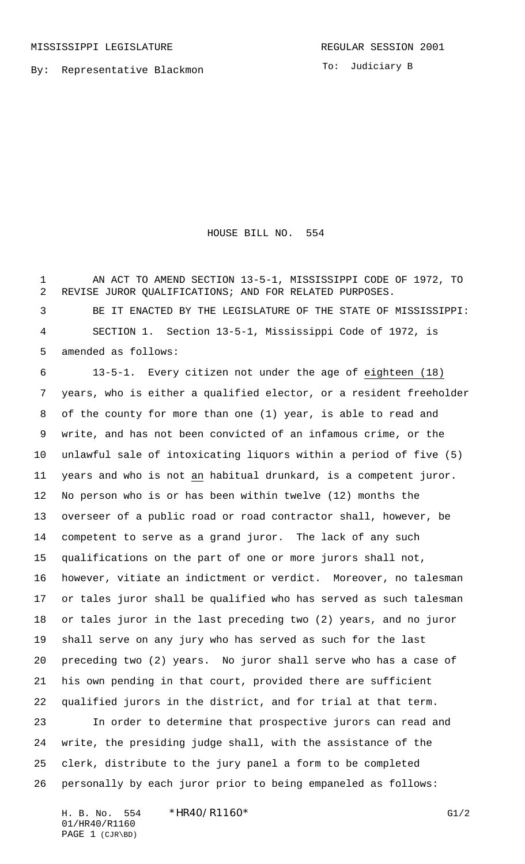By: Representative Blackmon

To: Judiciary B

HOUSE BILL NO. 554

 AN ACT TO AMEND SECTION 13-5-1, MISSISSIPPI CODE OF 1972, TO REVISE JUROR QUALIFICATIONS; AND FOR RELATED PURPOSES. BE IT ENACTED BY THE LEGISLATURE OF THE STATE OF MISSISSIPPI: SECTION 1. Section 13-5-1, Mississippi Code of 1972, is amended as follows:

 13-5-1. Every citizen not under the age of eighteen (18) years, who is either a qualified elector, or a resident freeholder of the county for more than one (1) year, is able to read and write, and has not been convicted of an infamous crime, or the unlawful sale of intoxicating liquors within a period of five (5) years and who is not an habitual drunkard, is a competent juror. No person who is or has been within twelve (12) months the overseer of a public road or road contractor shall, however, be competent to serve as a grand juror. The lack of any such qualifications on the part of one or more jurors shall not, however, vitiate an indictment or verdict. Moreover, no talesman or tales juror shall be qualified who has served as such talesman or tales juror in the last preceding two (2) years, and no juror shall serve on any jury who has served as such for the last preceding two (2) years. No juror shall serve who has a case of his own pending in that court, provided there are sufficient qualified jurors in the district, and for trial at that term. In order to determine that prospective jurors can read and

 write, the presiding judge shall, with the assistance of the clerk, distribute to the jury panel a form to be completed personally by each juror prior to being empaneled as follows:

H. B. No. 554 \*HR40/R1160\* G1/2 01/HR40/R1160 PAGE 1 (CJR\BD)